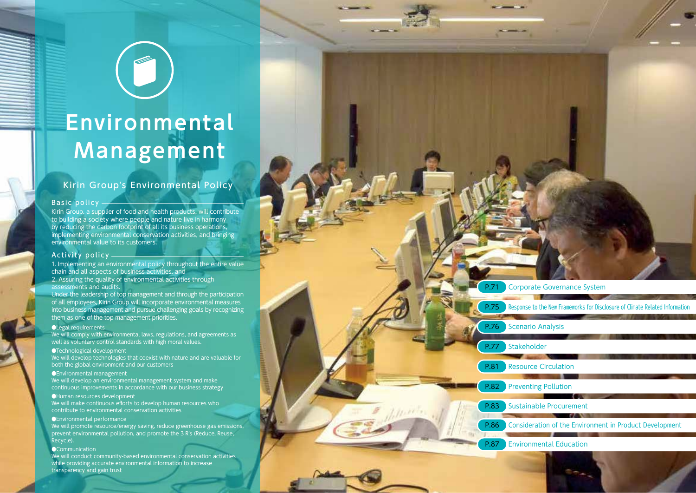# **Environmental Management**

 $\begin{pmatrix} 1 \\ 0 \end{pmatrix}$ 

# Kirin Group's Environmental Policy

#### Basic policy

Kirin Group, a supplier of food and health products, will contribute to building a society where people and nature live in harmony by reducing the carbon footprint of all its business operations, implementing environmental conservation activities, and bringing environmental value to its customers.

#### Activity policy

1. Implementing an environmental policy throughout the entire value chain and all aspects of business activities, and 2. Assuring the quality of environmental activities through assessments and audits.

Under the leadership of top management and through the participation of all employees, Kirin Group will incorporate environmental measures into business management and pursue challenging goals by recognizing them as one of the top management priorities.

#### ●Legal requirements

We will comply with environmental laws, regulations, and agreements as well as voluntary control standards with high moral values.

#### ●Technological development

We will develop technologies that coexist with nature and are valuable for both the global environment and our customers

#### ●Environmental management

We will develop an environmental management system and make continuous improvements in accordance with our business strategy

#### ●Human resources development

We will make continuous efforts to develop human resources who contribute to environmental conservation activities

#### ●Environmental performance

We will promote resource/energy saving, reduce greenhouse gas emissions, prevent environmental pollution, and promote the 3 R's (Reduce, Reuse, Recycle).

#### **OCommunication**

We will conduct community-based environmental conservation activities while providing accurate environmental information to increase transparency and gain trust

**P.71** Corporate Governance System **P.75** Response to the New Frameworks for Disclosure of Climate Related Information **P.76** Scenario Analysis P.77 Stakeholder **P.81** Resource Circulation **P.82** Preventing Pollution **P.83** Sustainable Procurement Consideration of the Environment in Product Development Environmental Education P.86 P.87

70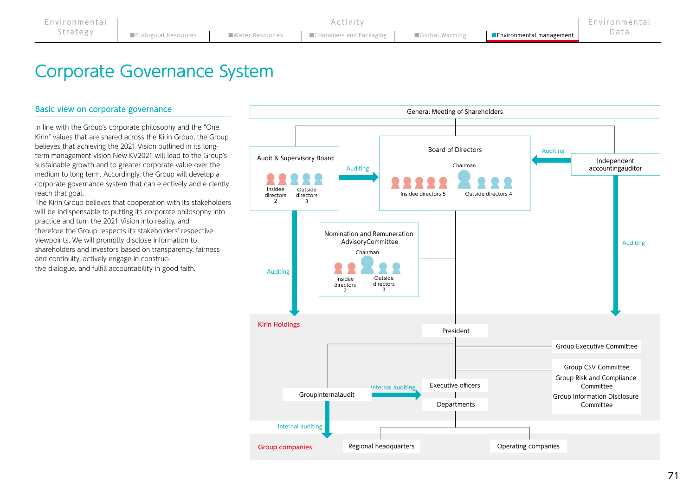# Corporate Governance System

# Basic view on corporate governance

In line with the Group's corporate philosophy and the "One Kirin" values that are shared across the Kirin Group, the Group believes that achieving the 2021 Vision outlined in its longterm management vision New KV2021 will lead to the Group's sustainable growth and to greater corporate value over the medium to long term. Accordingly, the Group will develop a corporate governance system that can e ectively and e ciently reach that goal.

The Kirin Group believes that cooperation with its stakeholders will be indispensable to putting its corporate philosophy into practice and turn the 2021 Vision into reality, and therefore the Group respects its stakeholders' respective viewpoints. We will promptly disclose information to shareholders and investors based on transparency, fairness and continuity, actively engage in constructive dialogue, and fulfill accountability in good faith.

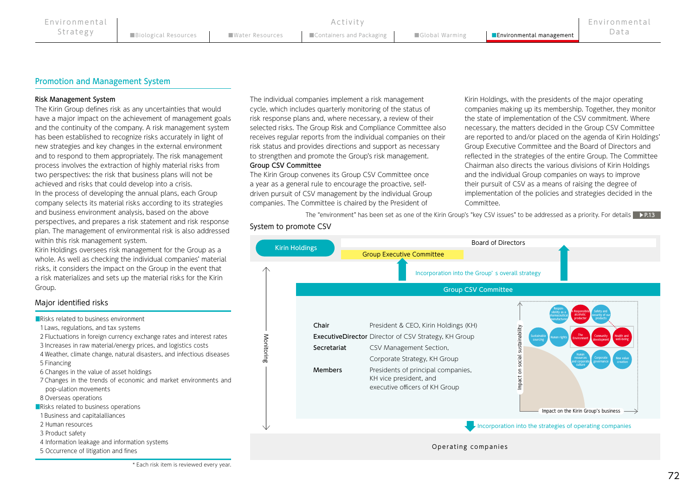## Promotion and Management System

#### Risk Management System

The Kirin Group defines risk as any uncertainties that would have a major impact on the achievement of management goals and the continuity of the company. A risk management system has been established to recognize risks accurately in light of new strategies and key changes in the external environment and to respond to them appropriately. The risk management process involves the extraction of highly material risks from two perspectives: the risk that business plans will not be achieved and risks that could develop into a crisis. In the process of developing the annual plans, each Group company selects its material risks according to its strategies and business environment analysis, based on the above perspectives, and prepares a risk statement and risk response plan. The management of environmental risk is also addressed within this risk management system.

Kirin Holdings oversees risk management for the Group as a whole. As well as checking the individual companies' material risks, it considers the impact on the Group in the event that a risk materializes and sets up the material risks for the Kirin Group.

### Major identified risks

■Risks related to business environment 1Laws, regulations, and tax systems 2 Fluctuations in foreign currency exchange rates and interest rates 3 Increases in raw material/energy prices, and logistics costs 4 Weather, climate change, natural disasters, and infectious diseases 5 Financing 6 Changes in the value of asset holdings 7 Changes in the trends of economic and market environments and pop-ulation movements 8 Overseas operations ■Risks related to business operations 1 Business and capitalalliances 2 Human resources 3 Product safety 4 Information leakage and information systems 5 Occurrence of litigation and fines

Group CSV Committee The individual companies implement a risk management cycle, which includes quarterly monitoring of the status of risk response plans and, where necessary, a review of their selected risks. The Group Risk and Compliance Committee also receives regular reports from the individual companies on their risk status and provides directions and support as necessary to strengthen and promote the Group's risk management.

The Kirin Group convenes its Group CSV Committee once a year as a general rule to encourage the proactive, selfdriven pursuit of CSV management by the individual Group companies. The Committee is chaired by the President of

Kirin Holdings, with the presidents of the major operating companies making up its membership. Together, they monitor the state of implementation of the CSV commitment. Where necessary, the matters decided in the Group CSV Committee are reported to and/or placed on the agenda of Kirin Holdings' Group Executive Committee and the Board of Directors and reflected in the strategies of the entire Group. The Committee Chairman also directs the various divisions of Kirin Holdings and the individual Group companies on ways to improve their pursuit of CSV as a means of raising the degree of implementation of the policies and strategies decided in the Committee.

The "environment" has been set as one of the Kirin Group's "key CSV issues" to be addressed as a priority. For details ▶P.13



System to promote CSV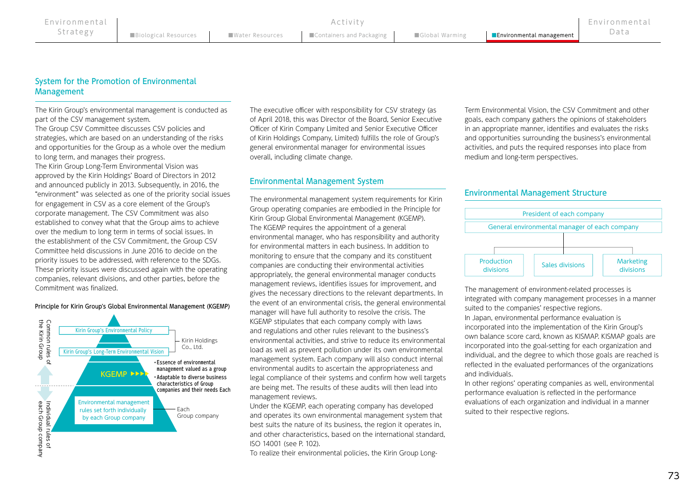Activity

# System for the Promotion of Environmental Management

The Kirin Group's environmental management is conducted as part of the CSV management system.

The Group CSV Committee discusses CSV policies and strategies, which are based on an understanding of the risks and opportunities for the Group as a whole over the medium to long term, and manages their progress. The Kirin Group Long-Term Environmental Vision was approved by the Kirin Holdings' Board of Directors in 2012 and announced publicly in 2013. Subsequently, in 2016, the "environment" was selected as one of the priority social issues for engagement in CSV as a core element of the Group's corporate management. The CSV Commitment was also established to convey what that the Group aims to achieve over the medium to long term in terms of social issues. In the establishment of the CSV Commitment, the Group CSV Committee held discussions in June 2016 to decide on the priority issues to be addressed, with reference to the SDGs. These priority issues were discussed again with the operating companies, relevant divisions, and other parties, before the Commitment was finalized.

#### Principle for Kirin Group's Global Environmental Management (KGEMP)



The executive officer with responsibility for CSV strategy (as of April 2018, this was Director of the Board, Senior Executive Officer of Kirin Company Limited and Senior Executive Officer of Kirin Holdings Company, Limited) fulfills the role of Group's general environmental manager for environmental issues overall, including climate change.

# Environmental Management System

The environmental management system requirements for Kirin Group operating companies are embodied in the Principle for Kirin Group Global Environmental Management (KGEMP). The KGEMP requires the appointment of a general environmental manager, who has responsibility and authority for environmental matters in each business. In addition to monitoring to ensure that the company and its constituent companies are conducting their environmental activities appropriately, the general environmental manager conducts management reviews, identifies issues for improvement, and gives the necessary directions to the relevant departments. In the event of an environmental crisis, the general environmental manager will have full authority to resolve the crisis. The KGEMP stipulates that each company comply with laws and regulations and other rules relevant to the business's environmental activities, and strive to reduce its environmental load as well as prevent pollution under its own environmental management system. Each company will also conduct internal environmental audits to ascertain the appropriateness and legal compliance of their systems and confirm how well targets are being met. The results of these audits will then lead into management reviews.

Under the KGEMP, each operating company has developed Each binder the REENT, each operating company has developed<br>Group company and operates its own environmental management system that suited to their respective regions. best suits the nature of its business, the region it operates in, and other characteristics, based on the international standard, ISO 14001 (see P. 102).

To realize their environmental policies, the Kirin Group Long-

Term Environmental Vision, the CSV Commitment and other goals, each company gathers the opinions of stakeholders in an appropriate manner, identifies and evaluates the risks and opportunities surrounding the business's environmental activities, and puts the required responses into place from medium and long-term perspectives.

# Environmental Management Structure



The management of environment-related processes is integrated with company management processes in a manner suited to the companies' respective regions. In Japan, environmental performance evaluation is incorporated into the implementation of the Kirin Group's own balance score card, known as KISMAP. KISMAP goals are incorporated into the goal-setting for each organization and individual, and the degree to which those goals are reached is reflected in the evaluated performances of the organizations and individuals.

In other regions' operating companies as well, environmental performance evaluation is reflected in the performance evaluations of each organization and individual in a manner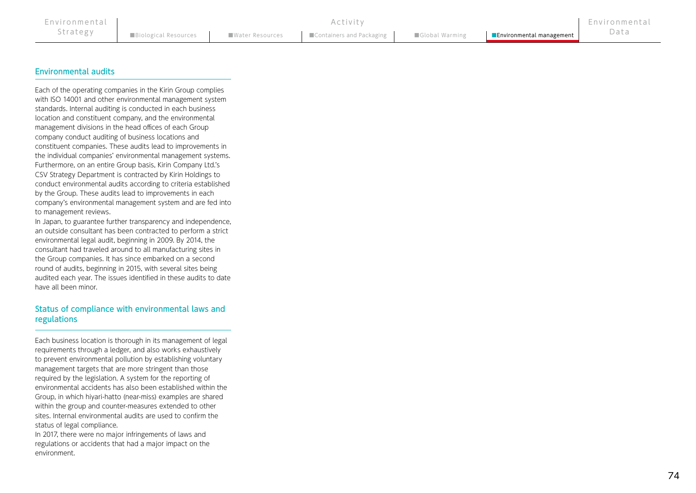Activity

# Environmental audits

Each of the operating companies in the Kirin Group complies with ISO 14001 and other environmental management system standards. Internal auditing is conducted in each business location and constituent company, and the environmental management divisions in the head offices of each Group company conduct auditing of business locations and constituent companies. These audits lead to improvements in the individual companies' environmental management systems. Furthermore, on an entire Group basis, Kirin Company Ltd.'s CSV Strategy Department is contracted by Kirin Holdings to conduct environmental audits according to criteria established by the Group. These audits lead to improvements in each company's environmental management system and are fed into to management reviews.

In Japan, to guarantee further transparency and independence, an outside consultant has been contracted to perform a strict environmental legal audit, beginning in 2009. By 2014, the consultant had traveled around to all manufacturing sites in the Group companies. It has since embarked on a second round of audits, beginning in 2015, with several sites being audited each year. The issues identified in these audits to date have all been minor.

# Status of compliance with environmental laws and regulations

Each business location is thorough in its management of legal requirements through a ledger, and also works exhaustively to prevent environmental pollution by establishing voluntary management targets that are more stringent than those required by the legislation. A system for the reporting of environmental accidents has also been established within the Group, in which hiyari-hatto (near-miss) examples are shared within the group and counter-measures extended to other sites. Internal environmental audits are used to confirm the status of legal compliance.

In 2017, there were no major infringements of laws and regulations or accidents that had a major impact on the environment.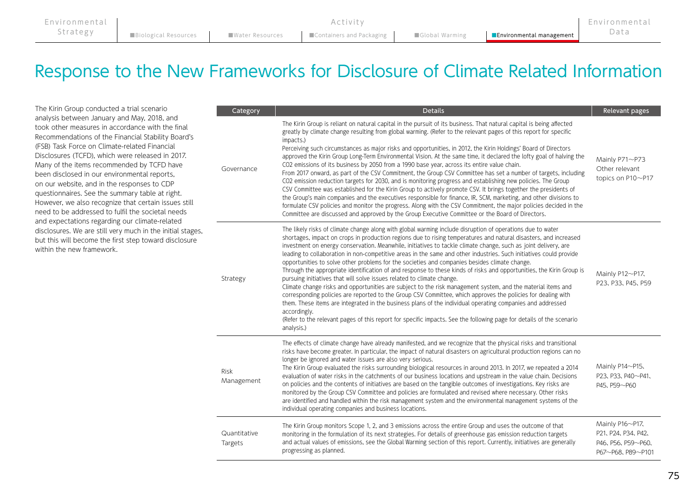| Environmental |  | Activity                                                                                                                                                                                                                                             |  | Environmental |
|---------------|--|------------------------------------------------------------------------------------------------------------------------------------------------------------------------------------------------------------------------------------------------------|--|---------------|
| Strategy      |  | Biological Resources <b>Number 2018</b> Mater Resources <b>Number 2019</b> Containers and Packaging <b>Containers Accomplished Accomplished Accomplished Accomplished Mater Resources and Containers and Packaging <b>Containers Containers </b></b> |  |               |

# Response to the New Frameworks for Disclosure of Climate Related Information

The Kirin Group conducted a trial scenario analysis between January and May, 2018, and took other measures in accordance with the final Recommendations of the Financial Stability Board's (FSB) Task Force on Climate-related Financial Disclosures (TCFD), which were released in 2017. Many of the items recommended by TCFD have been disclosed in our environmental reports, on our website, and in the responses to CDP questionnaires. See the summary table at right. However, we also recognize that certain issues still need to be addressed to fulfil the societal needs and expectations regarding our climate-related disclosures. We are still very much in the initial stages, but this will become the first step toward disclosure within the new framework.

| Category                  | <b>Details</b>                                                                                                                                                                                                                                                                                                                                                                                                                                                                                                                                                                                                                                                                                                                                                                                                                                                                                                                                                                                                                                                                                                                                                                                                                                                                                       | Relevant pages                                                                           |
|---------------------------|------------------------------------------------------------------------------------------------------------------------------------------------------------------------------------------------------------------------------------------------------------------------------------------------------------------------------------------------------------------------------------------------------------------------------------------------------------------------------------------------------------------------------------------------------------------------------------------------------------------------------------------------------------------------------------------------------------------------------------------------------------------------------------------------------------------------------------------------------------------------------------------------------------------------------------------------------------------------------------------------------------------------------------------------------------------------------------------------------------------------------------------------------------------------------------------------------------------------------------------------------------------------------------------------------|------------------------------------------------------------------------------------------|
| Governance                | The Kirin Group is reliant on natural capital in the pursuit of its business. That natural capital is being affected<br>greatly by climate change resulting from global warming. (Refer to the relevant pages of this report for specific<br>impacts.)<br>Perceiving such circumstances as major risks and opportunities, in 2012, the Kirin Holdings' Board of Directors<br>approved the Kirin Group Long-Term Environmental Vision. At the same time, it declared the lofty goal of halving the<br>CO2 emissions of its business by 2050 from a 1990 base year, across its entire value chain.<br>From 2017 onward, as part of the CSV Commitment, the Group CSV Committee has set a number of targets, including<br>CO2 emission reduction targets for 2030, and is monitoring progress and establishing new policies. The Group<br>CSV Committee was established for the Kirin Group to actively promote CSV. It brings together the presidents of<br>the Group's main companies and the executives responsible for finance, IR, SCM, marketing, and other divisions to<br>formulate CSV policies and monitor the progress. Along with the CSV Commitment, the major policies decided in the<br>Committee are discussed and approved by the Group Executive Committee or the Board of Directors. | Mainly P71~P73<br>Other relevant<br>topics on P10~P17                                    |
| Strategy                  | The likely risks of climate change along with global warming include disruption of operations due to water<br>shortages, impact on crops in production regions due to rising temperatures and natural disasters, and increased<br>investment on energy conservation. Meanwhile, initiatives to tackle climate change, such as joint delivery, are<br>leading to collaboration in non-competitive areas in the same and other industries. Such initiatives could provide<br>opportunities to solve other problems for the societies and companies besides climate change.<br>Through the appropriate identification of and response to these kinds of risks and opportunities, the Kirin Group is<br>pursuing initiatives that will solve issues related to climate change.<br>Climate change risks and opportunities are subject to the risk management system, and the material items and<br>corresponding policies are reported to the Group CSV Committee, which approves the policies for dealing with<br>them. These items are integrated in the business plans of the individual operating companies and addressed<br>accordingly.<br>(Refer to the relevant pages of this report for specific impacts. See the following page for details of the scenario<br>analysis.)                       | Mainly P12~P17.<br>P <sub>23</sub> , P <sub>33</sub> , P <sub>45</sub> , P <sub>59</sub> |
| <b>Risk</b><br>Management | The effects of climate change have already manifested, and we recognize that the physical risks and transitional<br>risks have become greater. In particular, the impact of natural disasters on agricultural production regions can no<br>longer be ignored and water issues are also very serious.<br>The Kirin Group evaluated the risks surrounding biological resources in around 2013. In 2017, we repeated a 2014<br>evaluation of water risks in the catchments of our business locations and upstream in the value chain. Decisions<br>on policies and the contents of initiatives are based on the tangible outcomes of investigations. Key risks are<br>monitored by the Group CSV Committee and policies are formulated and revised where necessary. Other risks<br>are identified and handled within the risk management system and the environmental management systems of the<br>individual operating companies and business locations.                                                                                                                                                                                                                                                                                                                                               | Mainly P14~P15.<br>P23, P33, P40~P41,<br>P45、P59~P60                                     |
| Quantitative<br>Targets   | The Kirin Group monitors Scope 1, 2, and 3 emissions across the entire Group and uses the outcome of that<br>monitoring in the formulation of its next strategies. For details of greenhouse gas emission reduction targets<br>and actual values of emissions, see the Global Warming section of this report. Currently, initiatives are generally<br>progressing as planned.                                                                                                                                                                                                                                                                                                                                                                                                                                                                                                                                                                                                                                                                                                                                                                                                                                                                                                                        | Mainly P16~P17.<br>P21, P24, P34, P42,<br>P46, P56, P59~P60,<br>P67~P68, P89~P101        |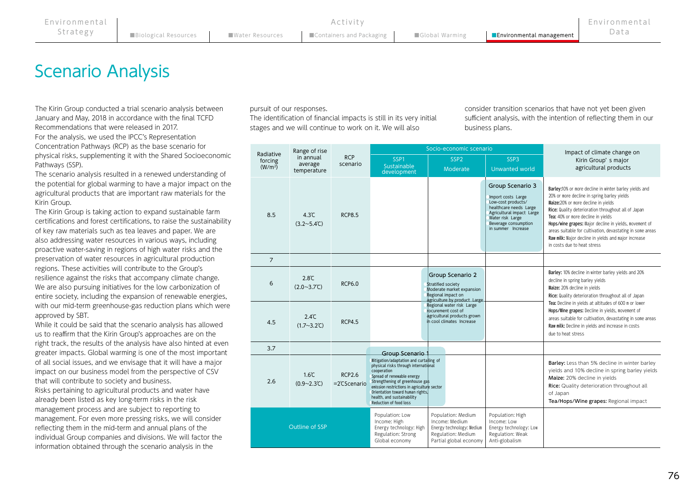# Scenario Analysis

The Kirin Group conducted a trial scenario analysis between January and May, 2018 in accordance with the final TCFD Recommendations that were released in 2017. For the analysis, we used the IPCC's Representation

Concentration Pathways (RCP) as the base scenario for physical risks, supplementing it with the Shared Socioeconomic Pathways (SSP).

The scenario analysis resulted in a renewed understanding of the potential for global warming to have a major impact on the agricultural products that are important raw materials for the Kirin Group.

The Kirin Group is taking action to expand sustainable farm certifications and forest certifications, to raise the sustainability of key raw materials such as tea leaves and paper. We are also addressing water resources in various ways, including proactive water-saving in regions of high water risks and the preservation of water resources in agricultural production regions. These activities will contribute to the Group's resilience against the risks that accompany climate change. We are also pursuing initiatives for the low carbonization of entire society, including the expansion of renewable energies, with our mid-term greenhouse-gas reduction plans which were approved by SBT.

While it could be said that the scenario analysis has allowed us to reaffirm that the Kirin Group's approaches are on the right track, the results of the analysis have also hinted at even greater impacts. Global warming is one of the most important of all social issues, and we envisage that it will have a major impact on our business model from the perspective of CSV that will contribute to society and business. Risks pertaining to agricultural products and water have already been listed as key long-term risks in the risk management process and are subject to reporting to management. For even more pressing risks, we will consider reflecting them in the mid-term and annual plans of the individual Group companies and divisions. We will factor the information obtained through the scenario analysis in the

pursuit of our responses.

The identification of financial impacts is still in its very initial stages and we will continue to work on it. We will also

consider transition scenarios that have not yet been given sufficient analysis, with the intention of reflecting them in our business plans.

|                                   | Range of rise                                    |                                         |                                                                                                                                                                                                                                                                                                            | Socio-economic scenario                                                                                                           |                                                                                                                                                                                       | Impact of climate change on                                                                                                                                                                                                                                                                                                                                                                                                                             |
|-----------------------------------|--------------------------------------------------|-----------------------------------------|------------------------------------------------------------------------------------------------------------------------------------------------------------------------------------------------------------------------------------------------------------------------------------------------------------|-----------------------------------------------------------------------------------------------------------------------------------|---------------------------------------------------------------------------------------------------------------------------------------------------------------------------------------|---------------------------------------------------------------------------------------------------------------------------------------------------------------------------------------------------------------------------------------------------------------------------------------------------------------------------------------------------------------------------------------------------------------------------------------------------------|
| Radiative<br>forcing<br>$(W/m^2)$ | in annual<br>average<br>temperature              | <b>RCP</b><br>scenario                  | SSP1<br>Sustainable<br>development                                                                                                                                                                                                                                                                         | SSP <sub>2</sub><br>Moderate                                                                                                      | SSP3<br>Unwanted world                                                                                                                                                                | Kirin Group's major<br>agricultural products                                                                                                                                                                                                                                                                                                                                                                                                            |
| 8.5                               | $4.3^{\circ}$ C<br>$(3.2 \sim 5.4^{\circ}C)$     | <b>RCP8.5</b>                           |                                                                                                                                                                                                                                                                                                            |                                                                                                                                   | Group Scenario 3<br>Import costs Large<br>Low-cost products/<br>healthcare needs Large<br>Agricultural impact Large<br>Water risk Large<br>Beverage consumption<br>in summer Increase | Barley:10% or more decline in winter barley yields and<br>20% or more decline in spring barley yields<br>Maize:20% or more decline in yields<br>Rice: Quality deterioration throughout all of Japan<br>Tea: 40% or more decline in yields<br>Hops/wine grapes: Major decline in yields, movement of<br>areas suitable for cultivation, devastating in some areas<br>Raw milk: Major decline in yields and major increase<br>in costs due to heat stress |
| $\overline{7}$                    |                                                  |                                         |                                                                                                                                                                                                                                                                                                            |                                                                                                                                   |                                                                                                                                                                                       |                                                                                                                                                                                                                                                                                                                                                                                                                                                         |
| 6                                 | $2.8^\circ$ C<br>$(2.0~3.7^{\circ}C)$            | <b>RCP6.0</b>                           |                                                                                                                                                                                                                                                                                                            | Group Scenario 2<br><b>Stratified society</b><br>Moderate market expansion<br>Regional impact on<br>agriculture by product_Large_ |                                                                                                                                                                                       | Barley: 10% decline in winter barley yields and 20%<br>decline in spring barley yields<br>Maize: 20% decline in yields<br>Rice: Quality deterioration throughout all of Japan                                                                                                                                                                                                                                                                           |
| 4.5                               | $2.4^{\circ}$ C<br>$(1.7 - 3.2^{\circ}\text{C})$ | <b>RCP4.5</b>                           |                                                                                                                                                                                                                                                                                                            | Regional water risk Large<br>rocurement cost of<br>agricultural products grown<br>in cool climates Increase                       |                                                                                                                                                                                       | Tea: Decline in yields at altitudes of 600 m or lower<br>Hops/Wine grapes: Decline in yields, movement of<br>areas suitable for cultivation, devastating in some areas<br>Raw milk: Decline in yields and increase in costs<br>due to heat stress                                                                                                                                                                                                       |
| 3.7                               |                                                  |                                         | Group Scenario                                                                                                                                                                                                                                                                                             |                                                                                                                                   |                                                                                                                                                                                       |                                                                                                                                                                                                                                                                                                                                                                                                                                                         |
| 2.6                               | $1.6^{\circ}$ C<br>$(0.9 - 2.3^{\circ}\text{C})$ | <b>RCP2.6</b><br>$=2^{\circ}$ CScenario | Mitigation/adaptation and curtailing of<br>physical risks through international<br>cooperation<br>Spread of renewable energy<br>Strengthening of greenhouse gas<br>emission restrictions in agriculture sector<br>Orientation toward human rights.<br>health, and sustainability<br>Reduction of food loss |                                                                                                                                   |                                                                                                                                                                                       | Barley: Less than 5% decline in winter barley<br>yields and 10% decline in spring barley yields<br>Maize: 20% decline in yields<br>Rice: Quality deterioration throughout all<br>of Japan<br>Tea/Hops/Wine grapes: Regional impact                                                                                                                                                                                                                      |
|                                   | Outline of SSP                                   |                                         | Population: Low<br>Income: High<br>Energy technology: High<br>Regulation: Strong<br>Global economy                                                                                                                                                                                                         | Population: Medium<br>Income: Medium<br>Energy technology: Medium<br>Regulation: Medium<br>Partial global economy                 | Population: High<br>Income: Low<br>Energy technology: Low<br>Regulation: Weak<br>Anti-globalism                                                                                       |                                                                                                                                                                                                                                                                                                                                                                                                                                                         |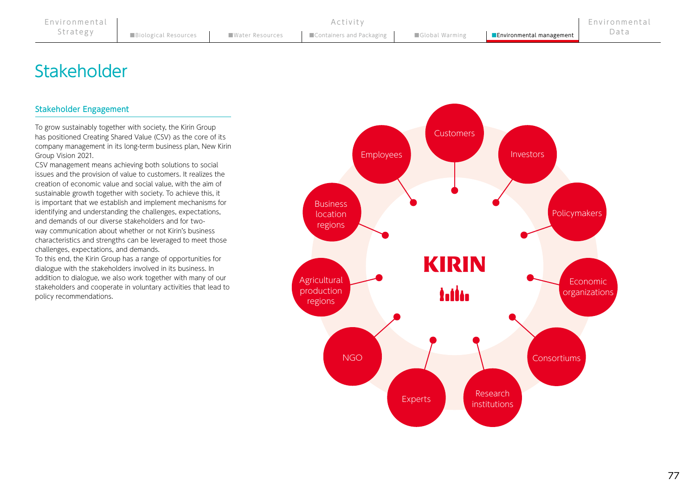# **Stakeholder**

# Stakeholder Engagement

To grow sustainably together with society, the Kirin Group has positioned Creating Shared Value (CSV) as the core of its company management in its long-term business plan, New Kirin Group Vision 2021.

CSV management means achieving both solutions to social issues and the provision of value to customers. It realizes the creation of economic value and social value, with the aim of sustainable growth together with society. To achieve this, it is important that we establish and implement mechanisms for identifying and understanding the challenges, expectations, and demands of our diverse stakeholders and for twoway communication about whether or not Kirin's business characteristics and strengths can be leveraged to meet those challenges, expectations, and demands.

To this end, the Kirin Group has a range of opportunities for dialogue with the stakeholders involved in its business. In addition to dialogue, we also work together with many of our stakeholders and cooperate in voluntary activities that lead to policy recommendations.

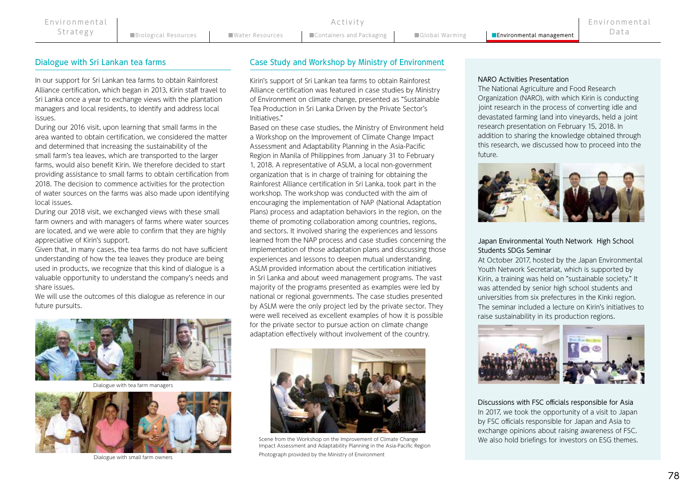In our support for Sri Lankan tea farms to obtain Rainforest Alliance certification, which began in 2013, Kirin staff travel to Sri Lanka once a year to exchange views with the plantation managers and local residents, to identify and address local issues.

During our 2016 visit, upon learning that small farms in the area wanted to obtain certification, we considered the matter and determined that increasing the sustainability of the small farm's tea leaves, which are transported to the larger farms, would also benefit Kirin. We therefore decided to start providing assistance to small farms to obtain certification from 2018. The decision to commence activities for the protection of water sources on the farms was also made upon identifying local issues.

During our 2018 visit, we exchanged views with these small farm owners and with managers of farms where water sources are located, and we were able to confirm that they are highly appreciative of Kirin's support.

Given that, in many cases, the tea farms do not have sufficient understanding of how the tea leaves they produce are being used in products, we recognize that this kind of dialogue is a valuable opportunity to understand the company's needs and share issues.

We will use the outcomes of this dialogue as reference in our future pursuits.



Dialogue with tea farm managers



# Dialogue with Sri Lankan tea farms Case Study and Workshop by Ministry of Environment

Activity

Kirin's support of Sri Lankan tea farms to obtain Rainforest Alliance certification was featured in case studies by Ministry of Environment on climate change, presented as "Sustainable Tea Production in Sri Lanka Driven by the Private Sector's Initiatives."

Based on these case studies, the Ministry of Environment held a Workshop on the Improvement of Climate Change Impact Assessment and Adaptability Planning in the Asia-Pacific Region in Manila of Philippines from January 31 to February 1, 2018. A representative of ASLM, a local non-government organization that is in charge of training for obtaining the Rainforest Alliance certification in Sri Lanka, took part in the workshop. The workshop was conducted with the aim of encouraging the implementation of NAP (National Adaptation Plans) process and adaptation behaviors in the region, on the theme of promoting collaboration among countries, regions, and sectors. It involved sharing the experiences and lessons learned from the NAP process and case studies concerning the implementation of those adaptation plans and discussing those experiences and lessons to deepen mutual understanding. ASLM provided information about the certification initiatives in Sri Lanka and about weed management programs. The vast majority of the programs presented as examples were led by national or regional governments. The case studies presented by ASLM were the only project led by the private sector. They were well received as excellent examples of how it is possible for the private sector to pursue action on climate change adaptation effectively without involvement of the country.



Impact Assessment and Adaptability Planning in the Asia-Pacific Region

Dialogue with small farm owners Photograph provided by the Ministry of Environment

#### NARO Activities Presentation

The National Agriculture and Food Research Organization (NARO), with which Kirin is conducting joint research in the process of converting idle and devastated farming land into vineyards, held a joint research presentation on February 15, 2018. In addition to sharing the knowledge obtained through this research, we discussed how to proceed into the future.



#### Japan Environmental Youth Network High School Students SDGs Seminar

At October 2017, hosted by the Japan Environmental Youth Network Secretariat, which is supported by Kirin, a training was held on "sustainable society." It was attended by senior high school students and universities from six prefectures in the Kinki region. The seminar included a lecture on Kirin's initiatives to raise sustainability in its production regions.



Discussions with FSC officials responsible for Asia In 2017, we took the opportunity of a visit to Japan by FSC officials responsible for Japan and Asia to exchange opinions about raising awareness of FSC. Scene from the Workshop on the Improvement of Climate Change We also hold briefings for investors on ESG themes.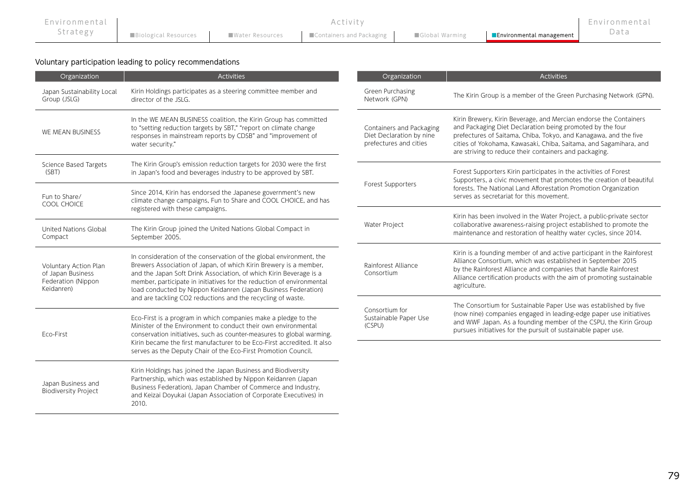| Environmental |                             | Activity                                                     |                          | Environmental |
|---------------|-----------------------------|--------------------------------------------------------------|--------------------------|---------------|
| strategy      | <b>Biological Resources</b> | ■Water Resources ■ Containers and Packaging ■ Global Warming | Environmental management | Data          |

Voluntary participation leading to policy recommendations

| Organization                                                                                                                                                                                                                                                                                                                                                                                                                                | <b>Activities</b>                                                                                                                                                                                                                                                                    | Organization                                                                   | <b>Activities</b>                                                                                                                                                                                                                                                                                                                 |  |
|---------------------------------------------------------------------------------------------------------------------------------------------------------------------------------------------------------------------------------------------------------------------------------------------------------------------------------------------------------------------------------------------------------------------------------------------|--------------------------------------------------------------------------------------------------------------------------------------------------------------------------------------------------------------------------------------------------------------------------------------|--------------------------------------------------------------------------------|-----------------------------------------------------------------------------------------------------------------------------------------------------------------------------------------------------------------------------------------------------------------------------------------------------------------------------------|--|
| Japan Sustainability Local<br>Group (JSLG)                                                                                                                                                                                                                                                                                                                                                                                                  | Kirin Holdings participates as a steering committee member and<br>director of the JSLG.                                                                                                                                                                                              | Green Purchasing<br>Network (GPN)                                              | The Kirin Group is a member of the Green Purchasing Network (GPN).                                                                                                                                                                                                                                                                |  |
| WE MEAN BUSINESS                                                                                                                                                                                                                                                                                                                                                                                                                            | In the WE MEAN BUSINESS coalition, the Kirin Group has committed<br>to "setting reduction targets by SBT," "report on climate change<br>responses in mainstream reports by CDSB" and "improvement of<br>water security."                                                             | Containers and Packaging<br>Diet Declaration by nine<br>prefectures and cities | Kirin Brewery, Kirin Beverage, and Mercian endorse the Containers<br>and Packaging Diet Declaration being promoted by the four<br>prefectures of Saitama, Chiba, Tokyo, and Kanagawa, and the five<br>cities of Yokohama, Kawasaki, Chiba, Saitama, and Sagamihara, and<br>are striving to reduce their containers and packaging. |  |
| Science Based Targets<br>(SBT)                                                                                                                                                                                                                                                                                                                                                                                                              | The Kirin Group's emission reduction targets for 2030 were the first<br>in Japan's food and beverages industry to be approved by SBT.                                                                                                                                                | Forest Supporters                                                              | Forest Supporters Kirin participates in the activities of Forest<br>Supporters, a civic movement that promotes the creation of beautiful                                                                                                                                                                                          |  |
| Fun to Share/<br>COOL CHOICE                                                                                                                                                                                                                                                                                                                                                                                                                | Since 2014, Kirin has endorsed the Japanese government's new<br>climate change campaigns, Fun to Share and COOL CHOICE, and has                                                                                                                                                      |                                                                                | forests. The National Land Afforestation Promotion Organization<br>serves as secretariat for this movement.                                                                                                                                                                                                                       |  |
|                                                                                                                                                                                                                                                                                                                                                                                                                                             | registered with these campaigns.                                                                                                                                                                                                                                                     | Water Project                                                                  | Kirin has been involved in the Water Project, a public-private sector<br>collaborative awareness-raising project established to promote the                                                                                                                                                                                       |  |
| United Nations Global<br>Compact                                                                                                                                                                                                                                                                                                                                                                                                            | The Kirin Group joined the United Nations Global Compact in<br>September 2005.                                                                                                                                                                                                       |                                                                                | maintenance and restoration of healthy water cycles, since 2014.                                                                                                                                                                                                                                                                  |  |
| In consideration of the conservation of the global environment, the<br>Brewers Association of Japan, of which Kirin Brewery is a member,<br>Voluntary Action Plan<br>and the Japan Soft Drink Association, of which Kirin Beverage is a<br>of Japan Business<br>Federation (Nippon<br>member, participate in initiatives for the reduction of environmental<br>Keidanren)<br>load conducted by Nippon Keidanren (Japan Business Federation) |                                                                                                                                                                                                                                                                                      | Rainforest Alliance<br>Consortium                                              | Kirin is a founding member of and active participant in the Rainforest<br>Alliance Consortium, which was established in September 2015<br>by the Rainforest Alliance and companies that handle Rainforest<br>Alliance certification products with the aim of promoting sustainable<br>agriculture.                                |  |
|                                                                                                                                                                                                                                                                                                                                                                                                                                             | and are tackling CO2 reductions and the recycling of waste.                                                                                                                                                                                                                          | Consortium for                                                                 | The Consortium for Sustainable Paper Use was established by five                                                                                                                                                                                                                                                                  |  |
| Eco-First                                                                                                                                                                                                                                                                                                                                                                                                                                   | Eco-First is a program in which companies make a pledge to the<br>Minister of the Environment to conduct their own environmental<br>conservation initiatives, such as counter-measures to global warming.<br>Kirin became the first manufacturer to be Eco-First accredited. It also | Sustainable Paper Use<br>(CSPU)                                                | (now nine) companies engaged in leading-edge paper use initiatives<br>and WWF Japan. As a founding member of the CSPU, the Kirin Group<br>pursues initiatives for the pursuit of sustainable paper use.                                                                                                                           |  |
|                                                                                                                                                                                                                                                                                                                                                                                                                                             | serves as the Deputy Chair of the Eco-First Promotion Council.                                                                                                                                                                                                                       |                                                                                |                                                                                                                                                                                                                                                                                                                                   |  |
| Japan Business and<br><b>Biodiversity Project</b>                                                                                                                                                                                                                                                                                                                                                                                           | Kirin Holdings has joined the Japan Business and Biodiversity<br>Partnership, which was established by Nippon Keidanren (Japan<br>Business Federation), Japan Chamber of Commerce and Industry,<br>and Keizai Doyukai (Japan Association of Corporate Executives) in<br>2010.        |                                                                                |                                                                                                                                                                                                                                                                                                                                   |  |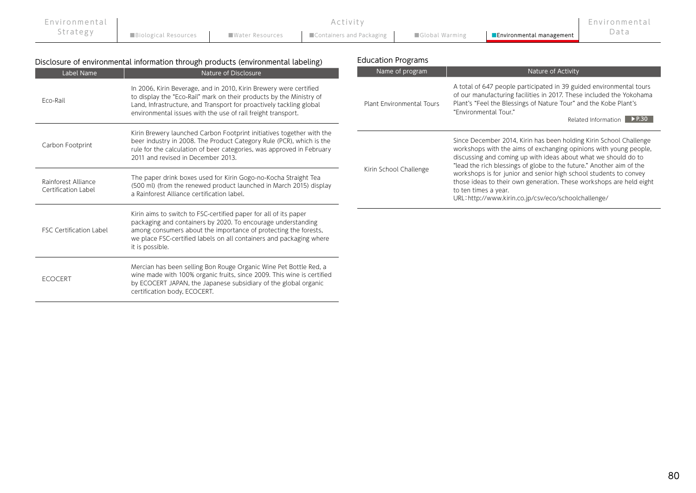| Environmental I |                             | Activity                                       |                |                                 | Environmental |
|-----------------|-----------------------------|------------------------------------------------|----------------|---------------------------------|---------------|
| Strategy        | <b>Biological Resources</b> | ■ Water Resources ■ ■ Containers and Packaging | Global Warming | <b>Environmental management</b> | Data          |

| Disclosure of environmental information through products (environmental labeling) | <b>Education Programs</b> |
|-----------------------------------------------------------------------------------|---------------------------|
|                                                                                   |                           |

| Label Name                                 | Nature of Disclosure                                                                                                                                                                                                                                                                          | Name of program           | Nature of Activity                                                                                                                                                                                                                                                                |
|--------------------------------------------|-----------------------------------------------------------------------------------------------------------------------------------------------------------------------------------------------------------------------------------------------------------------------------------------------|---------------------------|-----------------------------------------------------------------------------------------------------------------------------------------------------------------------------------------------------------------------------------------------------------------------------------|
| Eco-Rail                                   | In 2006, Kirin Beverage, and in 2010, Kirin Brewery were certified<br>to display the "Eco-Rail" mark on their products by the Ministry of<br>Land, Infrastructure, and Transport for proactively tackling global<br>environmental issues with the use of rail freight transport.              | Plant Environmental Tours | A total of 647 people participated in 39 guided environmental tours<br>of our manufacturing facilities in 2017. These included the Yokohama<br>Plant's "Feel the Blessings of Nature Tour" and the Kobe Plant's<br>"Environmental Tour."<br>Related Information PP.30             |
| Carbon Footprint                           | Kirin Brewery launched Carbon Footprint initiatives together with the<br>beer industry in 2008. The Product Category Rule (PCR), which is the<br>rule for the calculation of beer categories, was approved in February<br>2011 and revised in December 2013.                                  |                           | Since December 2014, Kirin has been holding Kirin School Challenge<br>workshops with the aims of exchanging opinions with young people,<br>discussing and coming up with ideas about what we should do to<br>"lead the rich blessings of globe to the future." Another aim of the |
| Rainforest Alliance<br>Certification Label | The paper drink boxes used for Kirin Gogo-no-Kocha Straight Tea<br>(500 ml) (from the renewed product launched in March 2015) display<br>a Rainforest Alliance certification label.                                                                                                           | Kirin School Challenge    | workshops is for junior and senior high school students to convey<br>those ideas to their own generation. These workshops are held eight<br>to ten times a year.<br>URL: http://www.kirin.co.jp/csv/eco/schoolchallenge/                                                          |
| <b>FSC Certification Label</b>             | Kirin aims to switch to FSC-certified paper for all of its paper<br>packaging and containers by 2020. To encourage understanding<br>among consumers about the importance of protecting the forests,<br>we place FSC-certified labels on all containers and packaging where<br>it is possible. |                           |                                                                                                                                                                                                                                                                                   |
| <b>ECOCERT</b>                             | Mercian has been selling Bon Rouge Organic Wine Pet Bottle Red, a<br>wine made with 100% organic fruits, since 2009. This wine is certified<br>by ECOCERT JAPAN, the Japanese subsidiary of the global organic<br>certification body, ECOCERT.                                                |                           |                                                                                                                                                                                                                                                                                   |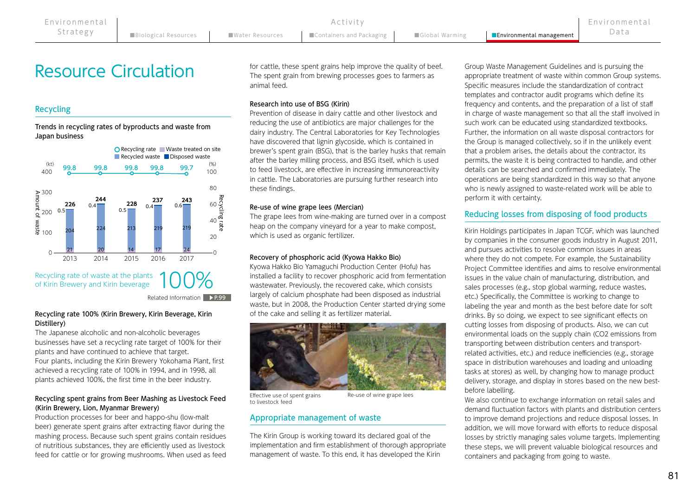# Resource Circulation

# Recycling

Trends in recycling rates of byproducts and waste from Japan business



Related Information **▶ P.99** 

### Recycling rate 100% (Kirin Brewery, Kirin Beverage, Kirin Distillery)

The Japanese alcoholic and non-alcoholic beverages businesses have set a recycling rate target of 100% for their plants and have continued to achieve that target. Four plants, including the Kirin Brewery Yokohama Plant, first achieved a recycling rate of 100% in 1994, and in 1998, all plants achieved 100%, the first time in the beer industry.

# Recycling spent grains from Beer Mashing as Livestock Feed (Kirin Brewery, Lion, Myanmar Brewery)

Production processes for beer and happo-shu (low-malt beer) generate spent grains after extracting flavor during the mashing process. Because such spent grains contain residues of nutritious substances, they are efficiently used as livestock feed for cattle or for growing mushrooms. When used as feed for cattle, these spent grains help improve the quality of beef. The spent grain from brewing processes goes to farmers as animal feed.

### Research into use of BSG (Kirin)

Prevention of disease in dairy cattle and other livestock and reducing the use of antibiotics are major challenges for the dairy industry. The Central Laboratories for Key Technologies have discovered that lignin glycoside, which is contained in brewer's spent grain (BSG), that is the barley husks that remain after the barley milling process, and BSG itself, which is used to feed livestock, are effective in increasing immunoreactivity in cattle. The Laboratories are pursuing further research into these findings.

### Re-use of wine grape lees (Mercian)

The grape lees from wine-making are turned over in a compost heap on the company vineyard for a year to make compost, which is used as organic fertilizer.

### Recovery of phosphoric acid (Kyowa Hakko Bio)

Kyowa Hakko Bio Yamaguchi Production Center (Hofu) has installed a facility to recover phosphoric acid from fermentation wastewater. Previously, the recovered cake, which consists largely of calcium phosphate had been disposed as industrial waste, but in 2008, the Production Center started drying some of the cake and selling it as fertilizer material.



Effective use of spent grains to livestock feed

Re-use of wine grape lees

# Appropriate management of waste

The Kirin Group is working toward its declared goal of the implementation and firm establishment of thorough appropriate management of waste. To this end, it has developed the Kirin

Group Waste Management Guidelines and is pursuing the appropriate treatment of waste within common Group systems. Specific measures include the standardization of contract templates and contractor audit programs which define its frequency and contents, and the preparation of a list of staff in charge of waste management so that all the staff involved in such work can be educated using standardized textbooks. Further, the information on all waste disposal contractors for the Group is managed collectively, so if in the unlikely event that a problem arises, the details about the contractor, its permits, the waste it is being contracted to handle, and other details can be searched and confirmed immediately. The operations are being standardized in this way so that anyone who is newly assigned to waste-related work will be able to perform it with certainty.

# Reducing losses from disposing of food products

Kirin Holdings participates in Japan TCGF, which was launched by companies in the consumer goods industry in August 2011, and pursues activities to resolve common issues in areas where they do not compete. For example, the Sustainability Project Committee identifies and aims to resolve environmental issues in the value chain of manufacturing, distribution, and sales processes (e.g., stop global warming, reduce wastes, etc.) Specifically, the Committee is working to change to labeling the year and month as the best before date for soft drinks. By so doing, we expect to see significant effects on cutting losses from disposing of products. Also, we can cut environmental loads on the supply chain (CO2 emissions from transporting between distribution centers and transportrelated activities, etc.) and reduce inefficiencies (e.g., storage space in distribution warehouses and loading and unloading tasks at stores) as well, by changing how to manage product delivery, storage, and display in stores based on the new bestbefore labelling.

We also continue to exchange information on retail sales and demand fluctuation factors with plants and distribution centers to improve demand projections and reduce disposal losses. In addition, we will move forward with efforts to reduce disposal losses by strictly managing sales volume targets. Implementing these steps, we will prevent valuable biological resources and containers and packaging from going to waste.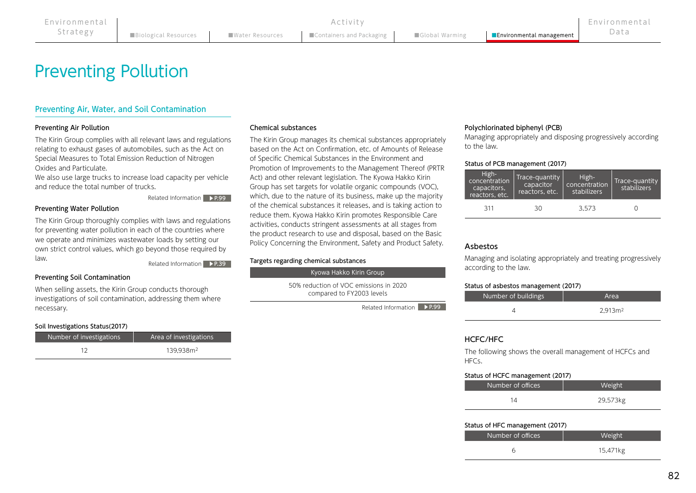# Preventing Pollution

# Preventing Air, Water, and Soil Contamination

# Preventing Air Pollution

The Kirin Group complies with all relevant laws and regulations relating to exhaust gases of automobiles, such as the Act on Special Measures to Total Emission Reduction of Nitrogen Oxides and Particulate.

We also use large trucks to increase load capacity per vehicle and reduce the total number of trucks.

Related Information P.99

### Preventing Water Pollution

The Kirin Group thoroughly complies with laws and regulations for preventing water pollution in each of the countries where we operate and minimizes wastewater loads by setting our own strict control values, which go beyond those required by law.

Related Information ▶ P.39

### Preventing Soil Contamination

When selling assets, the Kirin Group conducts thorough investigations of soil contamination, addressing them where necessary.

### Soil Investigations Status(2017)

| Number of investigations | Area of investigations |
|--------------------------|------------------------|
|                          | 139.938m <sup>2</sup>  |

#### Chemical substances

The Kirin Group manages its chemical substances appropriately based on the Act on Confirmation, etc. of Amounts of Release of Specific Chemical Substances in the Environment and Promotion of Improvements to the Management Thereof (PRTR Act) and other relevant legislation. The Kyowa Hakko Kirin Group has set targets for volatile organic compounds (VOC), which, due to the nature of its business, make up the majority of the chemical substances it releases, and is taking action to reduce them. Kyowa Hakko Kirin promotes Responsible Care activities, conducts stringent assessments at all stages from the product research to use and disposal, based on the Basic Policy Concerning the Environment, Safety and Product Safety.

#### Targets regarding chemical substances

Kyowa Hakko Kirin Group

50% reduction of VOC emissions in 2020 compared to FY2003 levels

**Related Information** ▶ **P.99** 

### Polychlorinated biphenyl (PCB)

Managing appropriately and disposing progressively according to the law.

#### Status of PCB management (2017)

| High-<br>concentration<br>capacitors,<br>reactors, etc. | Trace-quantity<br>capacitor<br>reactors, etc. | High-<br>concentration<br>stabilizers | Trace-quantity<br>stabilizers |
|---------------------------------------------------------|-----------------------------------------------|---------------------------------------|-------------------------------|
| 311                                                     | 30                                            | 3.573                                 |                               |

# Asbestos

Managing and isolating appropriately and treating progressively according to the law.

#### Status of asbestos management (2017)

| Number of buildings | Area                |
|---------------------|---------------------|
|                     | 2.913 <sub>m²</sub> |

# HCFC/HFC

The following shows the overall management of HCFCs and HFCs.

#### Status of HCFC management (2017)

| Number of offices | <b>Weight</b> |
|-------------------|---------------|
|                   | 29,573kg      |

#### Status of HFC management (2017)

| Number of offices | <b>Weight</b> |
|-------------------|---------------|
|                   | 15,471kg      |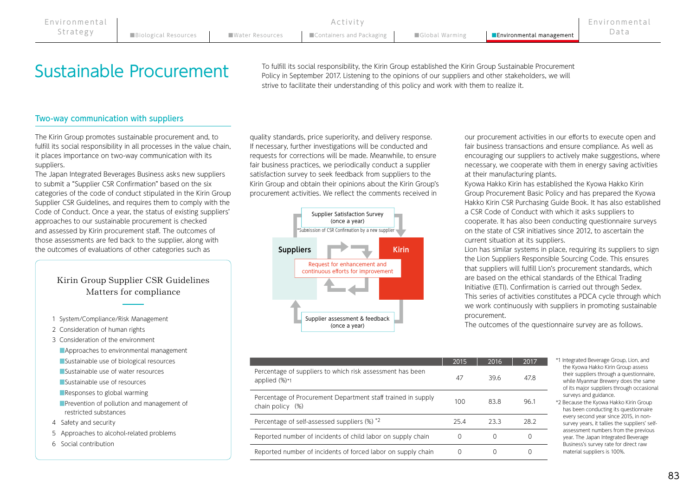# Sustainable Procurement

To fulfill its social responsibility, the Kirin Group established the Kirin Group Sustainable Procurement Policy in September 2017. Listening to the opinions of our suppliers and other stakeholders, we will strive to facilitate their understanding of this policy and work with them to realize it.

# Two-way communication with suppliers

The Kirin Group promotes sustainable procurement and, to fulfill its social responsibility in all processes in the value chain, it places importance on two-way communication with its suppliers.

The Japan Integrated Beverages Business asks new suppliers to submit a "Supplier CSR Confirmation" based on the six categories of the code of conduct stipulated in the Kirin Group Supplier CSR Guidelines, and requires them to comply with the Code of Conduct. Once a year, the status of existing suppliers' approaches to our sustainable procurement is checked and assessed by Kirin procurement staff. The outcomes of those assessments are fed back to the supplier, along with the outcomes of evaluations of other categories such as

# Kirin Group Supplier CSR Guidelines Matters for compliance

- 1 System/Compliance/Risk Management
- 2 Consideration of human rights
- 3 Consideration of the environment
	- ■Approaches to environmental management
	- ■Sustainable use of biological resources
	- ■Sustainable use of water resources
	- ■Sustainable use of resources
	- ■Responses to global warming
	- ■Prevention of pollution and management of restricted substances
- 4 Safety and security
- 5 Approaches to alcohol-related problems
- 6 Social contribution

quality standards, price superiority, and delivery response. If necessary, further investigations will be conducted and requests for corrections will be made. Meanwhile, to ensure fair business practices, we periodically conduct a supplier satisfaction survey to seek feedback from suppliers to the Kirin Group and obtain their opinions about the Kirin Group's procurement activities. We reflect the comments received in



our procurement activities in our efforts to execute open and fair business transactions and ensure compliance. As well as encouraging our suppliers to actively make suggestions, where necessary, we cooperate with them in energy saving activities at their manufacturing plants.

Kyowa Hakko Kirin has established the Kyowa Hakko Kirin Group Procurement Basic Policy and has prepared the Kyowa Hakko Kirin CSR Purchasing Guide Book. It has also established a CSR Code of Conduct with which it asks suppliers to cooperate. It has also been conducting questionnaire surveys on the state of CSR initiatives since 2012, to ascertain the current situation at its suppliers.

Lion has similar systems in place, requiring its suppliers to sign the Lion Suppliers Responsible Sourcing Code. This ensures that suppliers will fulfill Lion's procurement standards, which are based on the ethical standards of the Ethical Trading Initiative (ETI). Confirmation is carried out through Sedex. This series of activities constitutes a PDCA cycle through which we work continuously with suppliers in promoting sustainable procurement.

The outcomes of the questionnaire survey are as follows.

|                                                                                  | 2015 | 2016 | 2017 |
|----------------------------------------------------------------------------------|------|------|------|
| Percentage of suppliers to which risk assessment has been<br>applied (%)*1       | 47   | 39.6 | 47.8 |
| Percentage of Procurement Department staff trained in supply<br>chain policy (%) | 100  | 83.8 | 96.1 |
| Percentage of self-assessed suppliers (%) *2                                     | 25.4 | 23.3 | 28.2 |
| Reported number of incidents of child labor on supply chain                      |      |      |      |
| Reported number of incidents of forced labor on supply chain                     |      |      |      |

- \*1 Integrated Beverage Group, Lion, and the Kyowa Hakko Kirin Group assess their suppliers through a questionnaire, while Myanmar Brewery does the same of its major suppliers through occasional surveys and guidance.
- \*2 Because the Kyowa Hakko Kirin Group has been conducting its questionnaire every second year since 2015, in nonsurvey years, it tallies the suppliers' selfassessment numbers from the previous year. The Japan Integrated Beverage Business's survey rate for direct raw material suppliers is 100%.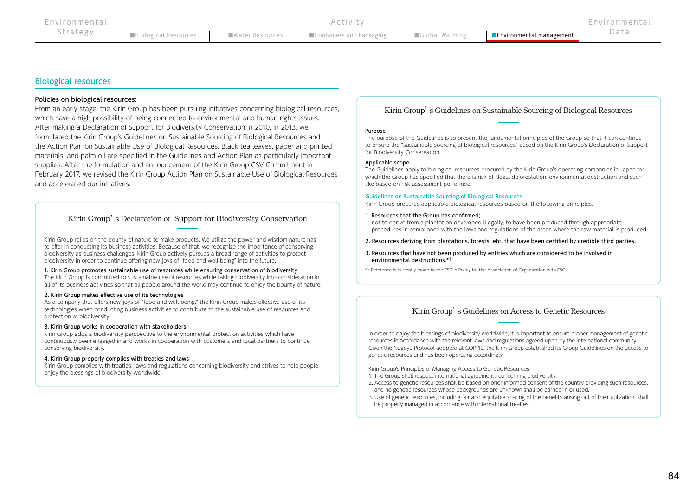### Biological resources

#### Policies on biological resources:

From an early stage, the Kirin Group has been pursuing initiatives concerning biological resources, which have a high possibility of being connected to environmental and human rights issues. After making a Declaration of Support for Biodiversity Conservation in 2010, in 2013, we formulated the Kirin Group's Guidelines on Sustainable Sourcing of Biological Resources and the Action Plan on Sustainable Use of Biological Resources. Black tea leaves, paper and printed materials, and palm oil are specified in the Guidelines and Action Plan as particularly important supplies. After the formulation and announcement of the Kirin Group CSV Commitment in February 2017, we revised the Kirin Group Action Plan on Sustainable Use of Biological Resources and accelerated our initiatives.

### Kirin Group's Declaration of Support for Biodiversity Conservation

Kirin Group relies on the bounty of nature to make products. We utilize the power and wisdom nature has to offer in conducting its business activities. Because of that, we recognize the importance of conserving biodiversity as business challenges. Kirin Group actively pursues a broad range of activities to protect biodiversity in order to continue offering new joys of "food and well-being" into the future.

#### 1. Kirin Group promotes sustainable use of resources while ensuring conservation of biodiversity

The Kirin Group is committed to sustainable use of resources while taking biodiversity into consideration in all of its business activities so that all people around the world may continue to enjoy the bounty of nature.

#### 2. Kirin Group makes effective use of its technologies

As a company that offers new joys of "food and well-being," the Kirin Group makes effective use of its technologies when conducting business activities to contribute to the sustainable use of resources and protection of biodiversity.

#### 3. Kirin Group works in cooperation with stakeholders

Kirin Group adds a biodiversity perspective to the environmental protection activities which have continuously been engaged in and works in cooperation with customers and local partners to continue conserving biodiversity.

#### 4. Kirin Group properly complies with treaties and laws

Kirin Group complies with treaties, laws and regulations concerning biodiversity and strives to help people enjoy the blessings of biodiversity worldwide.

Kirin Group's Guidelines on Sustainable Sourcing of Biological Resources

#### Purpose

The purpose of the Guidelines is to present the fundamental principles of the Group so that it can continue to ensure the "sustainable sourcing of biological resources" based on the Kirin Group's Declaration of Support for Biodiversity Conservation.

#### Applicable scope

The Guidelines apply to biological resources procured by the Kirin Group's operating companies in Japan for which the Group has specified that there is risk of illegal deforestation, environmental destruction and such like based on risk assessment performed.

#### Guidelines on Sustainable Sourcing of Biological Resources

Kirin Group procures applicable biological resources based on the following principles.

#### 1. Resources that the Group has confirmed;

not to derive from a plantation developed illegally, to have been produced through appropriate procedures in compliance with the laws and regulations of the areas where the raw material is produced.

- 2. Resources deriving from plantations, forests, etc. that have been certified by credible third parties.
- 3. Resources that have not been produced by entities which are considered to be involved in environmental destructions.\*1

\*1 Reference is currently made to the FSC's Policy for the Association of Organization with FSC.

### Kirin Group's Guidelines on Access to Genetic Resources

In order to enjoy the blessings of biodiversity worldwide, it is important to ensure proper management of genetic resources in accordance with the relevant laws and regulations agreed upon by the international community. Given the Nagoya Protocol adopted at COP 10, the Kirin Group established its Group Guidelines on the access to genetic resources and has been operating accordingly.

Kirin Group's Principles of Managing Access to Genetic Resources

- 1. The Group shall respect international agreements concerning biodiversity.
- 2. Access to genetic resources shall be based on prior informed consent of the country providing such resources, and no genetic resources whose backgrounds are unknown shall be carried in or used.
- 3. Use of genetic resources, including fair and equitable sharing of the benefits arising out of their utilization, shall be properly managed in accordance with international treaties.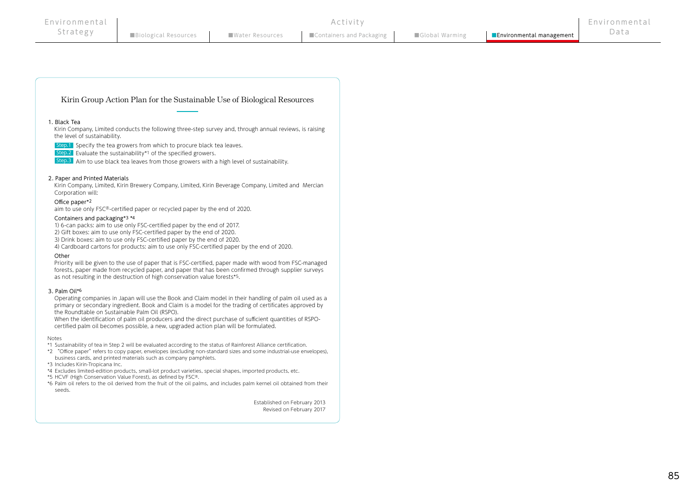#### Kirin Group Action Plan for the Sustainable Use of Biological Resources

#### 1.Black Tea

Kirin Company, Limited conducts the following three-step survey and, through annual reviews, is raising the level of sustainability.

Step.1 Specify the tea growers from which to procure black tea leaves.

Step.2 Evaluate the sustainability\*1 of the specified growers.

Step.3 Aim to use black tea leaves from those growers with a high level of sustainability.

#### 2.Paper and Printed Materials

Kirin Company, Limited, Kirin Brewery Company, Limited, Kirin Beverage Company, Limited and Mercian Corporation will:

#### Office paper\*2

aim to use only FSC®-certified paper or recycled paper by the end of 2020.

#### Containers and packaging\*3 \*4

1)6-can packs: aim to use only FSC-certified paper by the end of 2017.

2) Gift boxes: aim to use only FSC-certified paper by the end of 2020.

3)Drink boxes: aim to use only FSC-certified paper by the end of 2020.

4)Cardboard cartons for products: aim to use only FSC-certified paper by the end of 2020.

#### Other

Priority will be given to the use of paper that is FSC-certified, paper made with wood from FSC-managed forests, paper made from recycled paper, and paper that has been confirmed through supplier surveys as not resulting in the destruction of high conservation value forests\*5.

#### 3.Palm Oil\*6

Operating companies in Japan will use the Book and Claim model in their handling of palm oil used as a primary or secondary ingredient. Book and Claim is a model for the trading of certificates approved by the Roundtable on Sustainable Palm Oil (RSPO).

When the identification of palm oil producers and the direct purchase of sufficient quantities of RSPOcertified palm oil becomes possible, a new, upgraded action plan will be formulated.

#### Notes

\*1 Sustainability of tea in Step 2 will be evaluated according to the status of Rainforest Alliance certification.

\*2 "Office paper"refers to copy paper, envelopes (excluding non-standard sizes and some industrial-use envelopes), business cards, and printed materials such as company pamphlets.

- \*3 Includes Kirin-Tropicana Inc.
- \*4 Excludes limited-edition products, small-lot product varieties, special shapes, imported products, etc.
- \*5 HCVF (High Conservation Value Forest), as defined by FSC®.
- \*6 Palm oil refers to the oil derived from the fruit of the oil palms, and includes palm kernel oil obtained from their seeds.

Established on February 2013 Revised on February 2017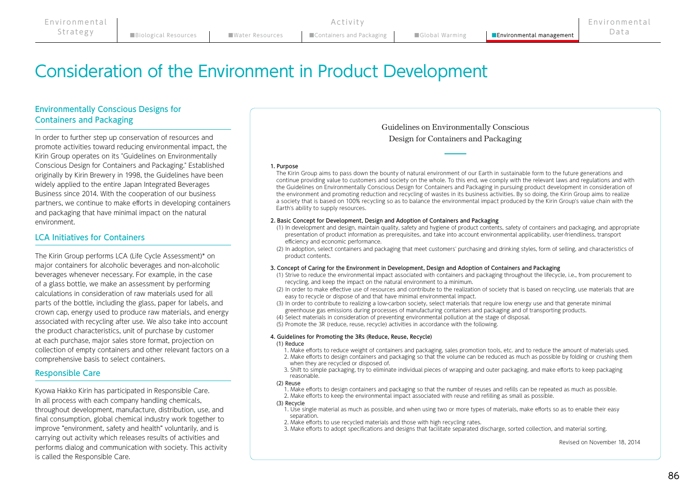# Consideration of the Environment in Product Development

# Environmentally Conscious Designs for Containers and Packaging

In order to further step up conservation of resources and promote activities toward reducing environmental impact, the Kirin Group operates on its "Guidelines on Environmentally Conscious Design for Containers and Packaging." Established originally by Kirin Brewery in 1998, the Guidelines have been widely applied to the entire Japan Integrated Beverages Business since 2014. With the cooperation of our business partners, we continue to make efforts in developing containers and packaging that have minimal impact on the natural environment.

# LCA Initiatives for Containers

The Kirin Group performs LCA (Life Cycle Assessment)\* on major containers for alcoholic beverages and non-alcoholic beverages whenever necessary. For example, in the case of a glass bottle, we make an assessment by performing calculations in consideration of raw materials used for all parts of the bottle, including the glass, paper for labels, and crown cap, energy used to produce raw materials, and energy associated with recycling after use. We also take into account the product characteristics, unit of purchase by customer at each purchase, major sales store format, projection on collection of empty containers and other relevant factors on a comprehensive basis to select containers.

# Responsible Care

Kyowa Hakko Kirin has participated in Responsible Care. In all process with each company handling chemicals, throughout development, manufacture, distribution, use, and final consumption, global chemical industry work together to improve "environment, safety and health" voluntarily, and is carrying out activity which releases results of activities and performs dialog and communication with society. This activity is called the Responsible Care.

Guidelines on Environmentally Conscious Design for Containers and Packaging

#### 1. Purpose

The Kirin Group aims to pass down the bounty of natural environment of our Earth in sustainable form to the future generations and continue providing value to customers and society on the whole. To this end, we comply with the relevant laws and regulations and with the Guidelines on Environmentally Conscious Design for Containers and Packaging in pursuing product development in consideration of the environment and promoting reduction and recycling of wastes in its business activities. By so doing, the Kirin Group aims to realize a society that is based on 100% recycling so as to balance the environmental impact produced by the Kirin Group's value chain with the Earth's ability to supply resources.

#### 2. Basic Concept for Development, Design and Adoption of Containers and Packaging

- (1) In development and design, maintain quality, safety and hygiene of product contents, safety of containers and packaging, and appropriate presentation of product information as prerequisites, and take into account environmental applicability, user-friendliness, transport efficiency and economic performance.
- (2) In adoption, select containers and packaging that meet customers' purchasing and drinking styles, form of selling, and characteristics of product contents.

#### 3. Concept of Caring for the Environment in Development, Design and Adoption of Containers and Packaging

- (1) Strive to reduce the environmental impact associated with containers and packaging throughout the lifecycle, i.e., from procurement to recycling, and keep the impact on the natural environment to a minimum.
- (2) In order to make effective use of resources and contribute to the realization of society that is based on recycling, use materials that are easy to recycle or dispose of and that have minimal environmental impact.
- (3) In order to contribute to realizing a low-carbon society, select materials that require low energy use and that generate minimal greenhouse gas emissions during processes of manufacturing containers and packaging and of transporting products.
- (4) Select materials in consideration of preventing environmental pollution at the stage of disposal.

(5) Promote the 3R (reduce, reuse, recycle) activities in accordance with the following.

#### 4. Guidelines for Promoting the 3Rs (Reduce, Reuse, Recycle)

#### (1) Reduce

- 1. Make efforts to reduce weight of containers and packaging, sales promotion tools, etc. and to reduce the amount of materials used.
- 2. Make efforts to design containers and packaging so that the volume can be reduced as much as possible by folding or crushing them when they are recycled or disposed of.
- 3. Shift to simple packaging, try to eliminate individual pieces of wrapping and outer packaging, and make efforts to keep packaging reasonable.

#### (2) Reuse

- 1. Make efforts to design containers and packaging so that the number of reuses and refills can be repeated as much as possible.
- 2. Make efforts to keep the environmental impact associated with reuse and refilling as small as possible.

#### (3) Recycle

- 1. Use single material as much as possible, and when using two or more types of materials, make efforts so as to enable their easy separation.
- 2. Make efforts to use recycled materials and those with high recycling rates.
- 3. Make efforts to adopt specifications and designs that facilitate separated discharge, sorted collection, and material sorting.

Revised on November 18, 2014